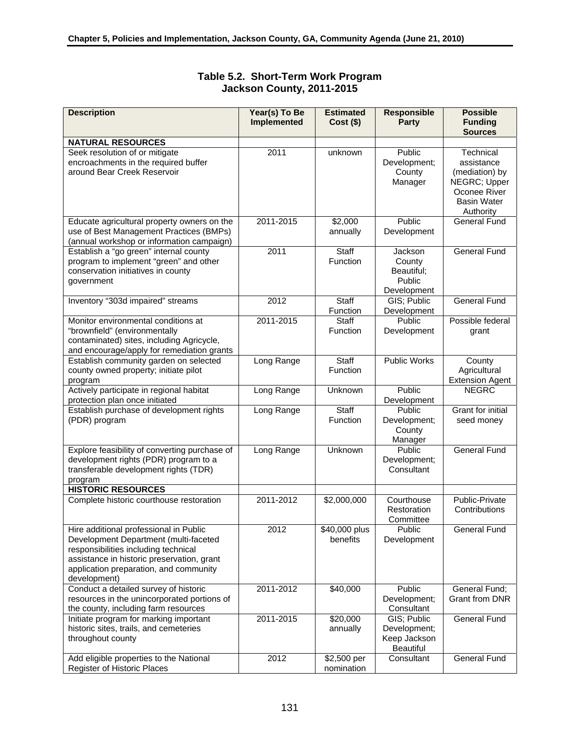| <b>Description</b>                                                                                                                                                                                                              | Year(s) To Be<br><b>Implemented</b> | <b>Estimated</b><br>$Cost($ \$) | <b>Responsible</b><br>Party                              | <b>Possible</b><br><b>Funding</b><br><b>Sources</b>                                                          |
|---------------------------------------------------------------------------------------------------------------------------------------------------------------------------------------------------------------------------------|-------------------------------------|---------------------------------|----------------------------------------------------------|--------------------------------------------------------------------------------------------------------------|
| <b>NATURAL RESOURCES</b>                                                                                                                                                                                                        |                                     |                                 |                                                          |                                                                                                              |
| Seek resolution of or mitigate<br>encroachments in the required buffer<br>around Bear Creek Reservoir                                                                                                                           | 2011                                | unknown                         | Public<br>Development;<br>County<br>Manager              | Technical<br>assistance<br>(mediation) by<br>NEGRC; Upper<br>Oconee River<br><b>Basin Water</b><br>Authority |
| Educate agricultural property owners on the<br>use of Best Management Practices (BMPs)<br>(annual workshop or information campaign)                                                                                             | 2011-2015                           | \$2,000<br>annually             | Public<br>Development                                    | <b>General Fund</b>                                                                                          |
| Establish a "go green" internal county<br>program to implement "green" and other<br>conservation initiatives in county<br>government                                                                                            | 2011                                | Staff<br>Function               | Jackson<br>County<br>Beautiful;<br>Public<br>Development | <b>General Fund</b>                                                                                          |
| Inventory "303d impaired" streams                                                                                                                                                                                               | 2012                                | Staff<br>Function               | GIS; Public<br>Development                               | <b>General Fund</b>                                                                                          |
| Monitor environmental conditions at<br>"brownfield" (environmentally<br>contaminated) sites, including Agricycle,<br>and encourage/apply for remediation grants                                                                 | 2011-2015                           | Staff<br>Function               | Public<br>Development                                    | Possible federal<br>grant                                                                                    |
| Establish community garden on selected<br>county owned property; initiate pilot<br>program                                                                                                                                      | Long Range                          | Staff<br>Function               | <b>Public Works</b>                                      | County<br>Agricultural<br><b>Extension Agent</b>                                                             |
| Actively participate in regional habitat<br>protection plan once initiated                                                                                                                                                      | Long Range                          | Unknown                         | Public<br>Development                                    | <b>NEGRC</b>                                                                                                 |
| Establish purchase of development rights<br>(PDR) program                                                                                                                                                                       | Long Range                          | Staff<br>Function               | Public<br>Development;<br>County<br>Manager              | <b>Grant for initial</b><br>seed money                                                                       |
| Explore feasibility of converting purchase of<br>development rights (PDR) program to a<br>transferable development rights (TDR)<br>program                                                                                      | Long Range                          | Unknown                         | Public<br>Development;<br>Consultant                     | <b>General Fund</b>                                                                                          |
| <b>HISTORIC RESOURCES</b>                                                                                                                                                                                                       |                                     |                                 |                                                          |                                                                                                              |
| Complete historic courthouse restoration                                                                                                                                                                                        | 2011-2012                           | \$2,000,000                     | Courthouse<br>Restoration<br>Committee                   | Public-Private<br>Contributions                                                                              |
| Hire additional professional in Public<br>Development Department (multi-faceted<br>responsibilities including technical<br>assistance in historic preservation, grant<br>application preparation, and community<br>development) | 2012                                | \$40,000 plus<br>benefits       | Public<br>Development                                    | <b>General Fund</b>                                                                                          |
| Conduct a detailed survey of historic<br>resources in the unincorporated portions of<br>the county, including farm resources                                                                                                    | 2011-2012                           | \$40,000                        | Public<br>Development;<br>Consultant                     | General Fund;<br><b>Grant from DNR</b>                                                                       |
| Initiate program for marking important<br>historic sites, trails, and cemeteries<br>throughout county                                                                                                                           | 2011-2015                           | \$20,000<br>annually            | GIS; Public<br>Development;<br>Keep Jackson<br>Beautiful | <b>General Fund</b>                                                                                          |
| Add eligible properties to the National                                                                                                                                                                                         | 2012                                | \$2,500 per                     | Consultant                                               | <b>General Fund</b>                                                                                          |

## **Table 5.2. Short-Term Work Program Jackson County, 2011-2015**

nomination

Register of Historic Places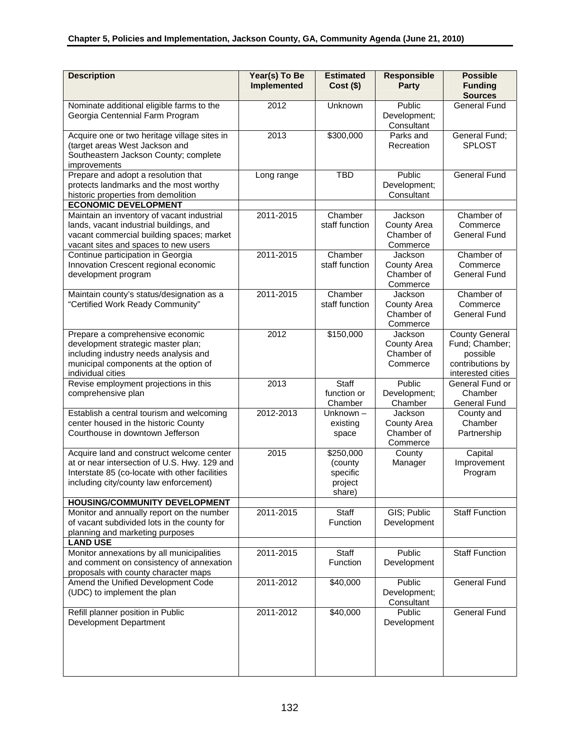| <b>Description</b>                                                                                                                                                                                                     | Year(s) To Be<br>Implemented | <b>Estimated</b><br>$Cost($ \$)                       | <b>Responsible</b><br><b>Party</b>                      | <b>Possible</b><br><b>Funding</b><br><b>Sources</b>                                          |
|------------------------------------------------------------------------------------------------------------------------------------------------------------------------------------------------------------------------|------------------------------|-------------------------------------------------------|---------------------------------------------------------|----------------------------------------------------------------------------------------------|
| Nominate additional eligible farms to the<br>Georgia Centennial Farm Program                                                                                                                                           | 2012                         | Unknown                                               | Public<br>Development;<br>Consultant                    | <b>General Fund</b>                                                                          |
| Acquire one or two heritage village sites in<br>(target areas West Jackson and<br>Southeastern Jackson County; complete<br>improvements                                                                                | 2013                         | \$300,000                                             | Parks and<br>Recreation                                 | General Fund;<br><b>SPLOST</b>                                                               |
| Prepare and adopt a resolution that<br>protects landmarks and the most worthy<br>historic properties from demolition<br><b>ECONOMIC DEVELOPMENT</b>                                                                    | Long range                   | <b>TBD</b>                                            | Public<br>Development;<br>Consultant                    | <b>General Fund</b>                                                                          |
| Maintain an inventory of vacant industrial<br>lands, vacant industrial buildings, and<br>vacant commercial building spaces; market<br>vacant sites and spaces to new users                                             | 2011-2015                    | Chamber<br>staff function                             | Jackson<br><b>County Area</b><br>Chamber of<br>Commerce | Chamber of<br>Commerce<br><b>General Fund</b>                                                |
| Continue participation in Georgia<br>Innovation Crescent regional economic<br>development program                                                                                                                      | 2011-2015                    | Chamber<br>staff function                             | Jackson<br><b>County Area</b><br>Chamber of<br>Commerce | Chamber of<br>Commerce<br><b>General Fund</b>                                                |
| Maintain county's status/designation as a<br>"Certified Work Ready Community"                                                                                                                                          | 2011-2015                    | Chamber<br>staff function                             | Jackson<br><b>County Area</b><br>Chamber of<br>Commerce | Chamber of<br>Commerce<br><b>General Fund</b>                                                |
| Prepare a comprehensive economic<br>development strategic master plan;<br>including industry needs analysis and<br>municipal components at the option of<br>individual cities                                          | 2012                         | \$150,000                                             | Jackson<br><b>County Area</b><br>Chamber of<br>Commerce | <b>County General</b><br>Fund; Chamber;<br>possible<br>contributions by<br>interested cities |
| Revise employment projections in this<br>comprehensive plan                                                                                                                                                            | 2013                         | Staff<br>function or<br>Chamber                       | Public<br>Development;<br>Chamber                       | General Fund or<br>Chamber<br><b>General Fund</b>                                            |
| Establish a central tourism and welcoming<br>center housed in the historic County<br>Courthouse in downtown Jefferson                                                                                                  | 2012-2013                    | Unknown-<br>existing<br>space                         | Jackson<br>County Area<br>Chamber of<br>Commerce        | County and<br>Chamber<br>Partnership                                                         |
| Acquire land and construct welcome center<br>at or near intersection of U.S. Hwy. 129 and<br>Interstate 85 (co-locate with other facilities<br>including city/county law enforcement)<br>HOUSING/COMMUNITY DEVELOPMENT | 2015                         | \$250,000<br>(county<br>specific<br>project<br>share) | County<br>Manager                                       | Capital<br>Improvement<br>Program                                                            |
| Monitor and annually report on the number<br>of vacant subdivided lots in the county for<br>planning and marketing purposes<br><b>LAND USE</b>                                                                         | 2011-2015                    | Staff<br>Function                                     | GIS; Public<br>Development                              | <b>Staff Function</b>                                                                        |
| Monitor annexations by all municipalities<br>and comment on consistency of annexation<br>proposals with county character maps                                                                                          | 2011-2015                    | Staff<br>Function                                     | Public<br>Development                                   | <b>Staff Function</b>                                                                        |
| Amend the Unified Development Code<br>(UDC) to implement the plan                                                                                                                                                      | 2011-2012                    | \$40,000                                              | Public<br>Development;<br>Consultant                    | <b>General Fund</b>                                                                          |
| Refill planner position in Public<br>Development Department                                                                                                                                                            | 2011-2012                    | \$40,000                                              | Public<br>Development                                   | <b>General Fund</b>                                                                          |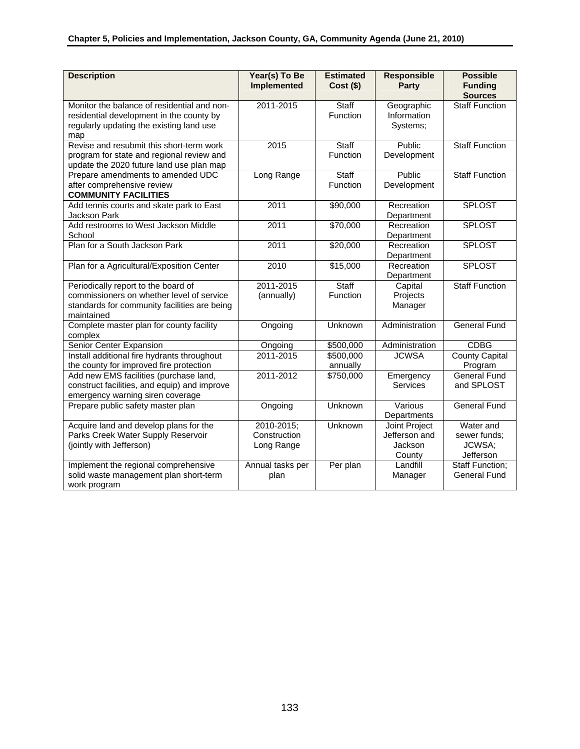| <b>Description</b>                                                                                                                         | Year(s) To Be<br><b>Implemented</b> | <b>Estimated</b><br>$Cost($ \$) | <b>Responsible</b><br>Party           | <b>Possible</b><br><b>Funding</b><br><b>Sources</b> |
|--------------------------------------------------------------------------------------------------------------------------------------------|-------------------------------------|---------------------------------|---------------------------------------|-----------------------------------------------------|
| Monitor the balance of residential and non-<br>residential development in the county by<br>regularly updating the existing land use<br>map | 2011-2015                           | Staff<br>Function               | Geographic<br>Information<br>Systems; | <b>Staff Function</b>                               |
| Revise and resubmit this short-term work<br>program for state and regional review and<br>update the 2020 future land use plan map          | 2015                                | Staff<br>Function               | Public<br>Development                 | <b>Staff Function</b>                               |
| Prepare amendments to amended UDC<br>after comprehensive review                                                                            | Long Range                          | Staff<br>Function               | Public<br>Development                 | <b>Staff Function</b>                               |
| <b>COMMUNITY FACILITIES</b>                                                                                                                |                                     |                                 |                                       |                                                     |
| Add tennis courts and skate park to East<br><b>Jackson Park</b>                                                                            | 2011                                | \$90,000                        | Recreation<br>Department              | <b>SPLOST</b>                                       |
| Add restrooms to West Jackson Middle<br>School                                                                                             | 2011                                | \$70,000                        | Recreation<br>Department              | <b>SPLOST</b>                                       |
| Plan for a South Jackson Park                                                                                                              | 2011                                | \$20,000                        | Recreation<br>Department              | <b>SPLOST</b>                                       |
| Plan for a Agricultural/Exposition Center                                                                                                  | 2010                                | \$15,000                        | Recreation<br>Department              | <b>SPLOST</b>                                       |
| Periodically report to the board of                                                                                                        | 2011-2015                           | Staff                           | Capital                               | <b>Staff Function</b>                               |
| commissioners on whether level of service                                                                                                  | (annually)                          | Function                        | Projects                              |                                                     |
| standards for community facilities are being<br>maintained                                                                                 |                                     |                                 | Manager                               |                                                     |
| Complete master plan for county facility<br>complex                                                                                        | Ongoing                             | Unknown                         | Administration                        | <b>General Fund</b>                                 |
| Senior Center Expansion                                                                                                                    | Ongoing                             | \$500,000                       | Administration                        | <b>CDBG</b>                                         |
| Install additional fire hydrants throughout                                                                                                | 2011-2015                           | \$500,000                       | <b>JCWSA</b>                          | <b>County Capital</b>                               |
| the county for improved fire protection                                                                                                    |                                     | annually                        |                                       | Program                                             |
| Add new EMS facilities (purchase land,<br>construct facilities, and equip) and improve<br>emergency warning siren coverage                 | 2011-2012                           | \$750,000                       | Emergency<br>Services                 | <b>General Fund</b><br>and SPLOST                   |
| Prepare public safety master plan                                                                                                          | Ongoing                             | Unknown                         | Various<br>Departments                | <b>General Fund</b>                                 |
| Acquire land and develop plans for the                                                                                                     | 2010-2015;                          | Unknown                         | Joint Project                         | Water and                                           |
| Parks Creek Water Supply Reservoir                                                                                                         | Construction                        |                                 | Jefferson and                         | sewer funds;                                        |
| (jointly with Jefferson)                                                                                                                   | Long Range                          |                                 | Jackson<br>County                     | JCWSA;<br>Jefferson                                 |
| Implement the regional comprehensive                                                                                                       | Annual tasks per                    | Per plan                        | Landfill                              | Staff Function;                                     |
| solid waste management plan short-term<br>work program                                                                                     | plan                                |                                 | Manager                               | <b>General Fund</b>                                 |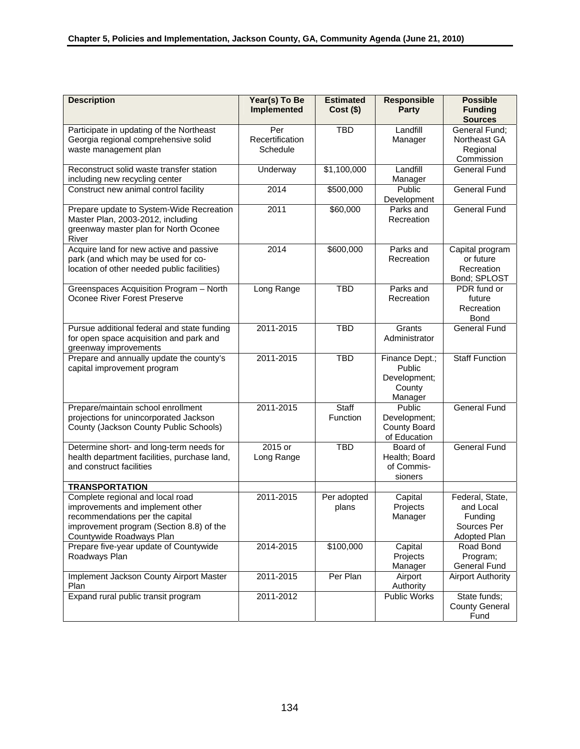| <b>Description</b>                                                                                                                                                              | Year(s) To Be<br><b>Implemented</b> | <b>Estimated</b><br>$Cost($ \$) | <b>Responsible</b><br>Party                                   | <b>Possible</b><br><b>Funding</b><br><b>Sources</b>                    |
|---------------------------------------------------------------------------------------------------------------------------------------------------------------------------------|-------------------------------------|---------------------------------|---------------------------------------------------------------|------------------------------------------------------------------------|
| Participate in updating of the Northeast<br>Georgia regional comprehensive solid<br>waste management plan                                                                       | Per<br>Recertification<br>Schedule  | <b>TBD</b>                      | Landfill<br>Manager                                           | General Fund;<br>Northeast GA<br>Regional<br>Commission                |
| Reconstruct solid waste transfer station<br>including new recycling center                                                                                                      | Underway                            | \$1,100,000                     | Landfill<br>Manager                                           | <b>General Fund</b>                                                    |
| Construct new animal control facility                                                                                                                                           | 2014                                | \$500,000                       | Public<br>Development                                         | <b>General Fund</b>                                                    |
| Prepare update to System-Wide Recreation<br>Master Plan, 2003-2012, including<br>greenway master plan for North Oconee<br>River                                                 | 2011                                | \$60,000                        | Parks and<br>Recreation                                       | <b>General Fund</b>                                                    |
| Acquire land for new active and passive<br>park (and which may be used for co-<br>location of other needed public facilities)                                                   | 2014                                | \$600,000                       | Parks and<br>Recreation                                       | Capital program<br>or future<br>Recreation<br>Bond; SPLOST             |
| Greenspaces Acquisition Program - North<br>Oconee River Forest Preserve                                                                                                         | Long Range                          | <b>TBD</b>                      | Parks and<br>Recreation                                       | PDR fund or<br>future<br>Recreation<br><b>Bond</b>                     |
| Pursue additional federal and state funding<br>for open space acquisition and park and<br>greenway improvements                                                                 | 2011-2015                           | <b>TBD</b>                      | Grants<br>Administrator                                       | <b>General Fund</b>                                                    |
| Prepare and annually update the county's<br>capital improvement program                                                                                                         | 2011-2015                           | <b>TBD</b>                      | Finance Dept.;<br>Public<br>Development;<br>County<br>Manager | <b>Staff Function</b>                                                  |
| Prepare/maintain school enrollment<br>projections for unincorporated Jackson<br>County (Jackson County Public Schools)                                                          | 2011-2015                           | Staff<br>Function               | Public<br>Development;<br><b>County Board</b><br>of Education | <b>General Fund</b>                                                    |
| Determine short- and long-term needs for<br>health department facilities, purchase land,<br>and construct facilities                                                            | 2015 or<br>Long Range               | <b>TBD</b>                      | Board of<br>Health; Board<br>of Commis-<br>sioners            | <b>General Fund</b>                                                    |
| <b>TRANSPORTATION</b>                                                                                                                                                           |                                     |                                 |                                                               |                                                                        |
| Complete regional and local road<br>improvements and implement other<br>recommendations per the capital<br>improvement program (Section 8.8) of the<br>Countywide Roadways Plan | 2011-2015                           | Per adopted<br>plans            | Capital<br>Projects<br>Manager                                | Federal, State,<br>and Local<br>Funding<br>Sources Per<br>Adopted Plan |
| Prepare five-year update of Countywide<br>Roadways Plan                                                                                                                         | 2014-2015                           | \$100,000                       | Capital<br>Projects<br>Manager                                | Road Bond<br>Program;<br><b>General Fund</b>                           |
| Implement Jackson County Airport Master<br>Plan                                                                                                                                 | 2011-2015                           | Per Plan                        | Airport<br>Authority                                          | <b>Airport Authority</b>                                               |
| Expand rural public transit program                                                                                                                                             | 2011-2012                           |                                 | <b>Public Works</b>                                           | State funds;<br><b>County General</b><br>Fund                          |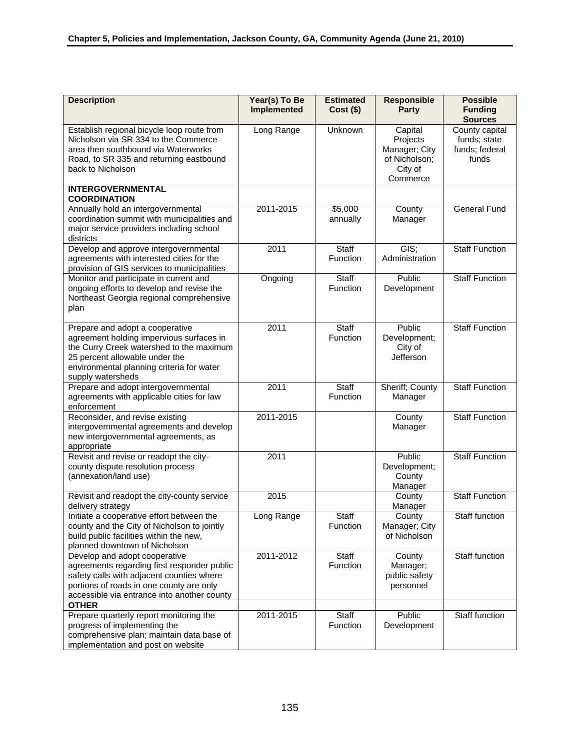| <b>Description</b>                                                                                                                                                                                                          | Year(s) To Be<br>Implemented | <b>Estimated</b><br>$Cost($ \$) | <b>Responsible</b><br><b>Party</b>                                           | <b>Possible</b><br><b>Funding</b><br><b>Sources</b>       |
|-----------------------------------------------------------------------------------------------------------------------------------------------------------------------------------------------------------------------------|------------------------------|---------------------------------|------------------------------------------------------------------------------|-----------------------------------------------------------|
| Establish regional bicycle loop route from<br>Nicholson via SR 334 to the Commerce<br>area then southbound via Waterworks<br>Road, to SR 335 and returning eastbound<br>back to Nicholson                                   | Long Range                   | Unknown                         | Capital<br>Projects<br>Manager; City<br>of Nicholson;<br>City of<br>Commerce | County capital<br>funds; state<br>funds; federal<br>funds |
| <b>INTERGOVERNMENTAL</b><br><b>COORDINATION</b>                                                                                                                                                                             |                              |                                 |                                                                              |                                                           |
| Annually hold an intergovernmental<br>coordination summit with municipalities and<br>major service providers including school<br>districts                                                                                  | 2011-2015                    | \$5,000<br>annually             | County<br>Manager                                                            | <b>General Fund</b>                                       |
| Develop and approve intergovernmental<br>agreements with interested cities for the<br>provision of GIS services to municipalities                                                                                           | 2011                         | Staff<br>Function               | GIS;<br>Administration                                                       | <b>Staff Function</b>                                     |
| Monitor and participate in current and<br>ongoing efforts to develop and revise the<br>Northeast Georgia regional comprehensive<br>plan                                                                                     | Ongoing                      | <b>Staff</b><br>Function        | Public<br>Development                                                        | <b>Staff Function</b>                                     |
| Prepare and adopt a cooperative<br>agreement holding impervious surfaces in<br>the Curry Creek watershed to the maximum<br>25 percent allowable under the<br>environmental planning criteria for water<br>supply watersheds | 2011                         | Staff<br>Function               | Public<br>Development;<br>City of<br>Jefferson                               | <b>Staff Function</b>                                     |
| Prepare and adopt intergovernmental<br>agreements with applicable cities for law<br>enforcement                                                                                                                             | 2011                         | Staff<br>Function               | Sheriff; County<br>Manager                                                   | <b>Staff Function</b>                                     |
| Reconsider, and revise existing<br>intergovernmental agreements and develop<br>new intergovernmental agreements, as<br>appropriate                                                                                          | 2011-2015                    |                                 | County<br>Manager                                                            | <b>Staff Function</b>                                     |
| Revisit and revise or readopt the city-<br>county dispute resolution process<br>(annexation/land use)                                                                                                                       | 2011                         |                                 | Public<br>Development;<br>County<br>Manager                                  | <b>Staff Function</b>                                     |
| Revisit and readopt the city-county service<br>delivery strategy                                                                                                                                                            | 2015                         |                                 | County<br>Manager                                                            | <b>Staff Function</b>                                     |
| Initiate a cooperative effort between the<br>county and the City of Nicholson to jointly<br>build public facilities within the new,<br>planned downtown of Nicholson                                                        | Long Range                   | Staff<br>Function               | County<br>Manager; City<br>of Nicholson                                      | Staff function                                            |
| Develop and adopt cooperative<br>agreements regarding first responder public<br>safety calls with adjacent counties where<br>portions of roads in one county are only<br>accessible via entrance into another county        | 2011-2012                    | Staff<br>Function               | County<br>Manager;<br>public safety<br>personnel                             | Staff function                                            |
| <b>OTHER</b><br>Prepare quarterly report monitoring the<br>progress of implementing the<br>comprehensive plan; maintain data base of<br>implementation and post on website                                                  | 2011-2015                    | Staff<br>Function               | Public<br>Development                                                        | <b>Staff function</b>                                     |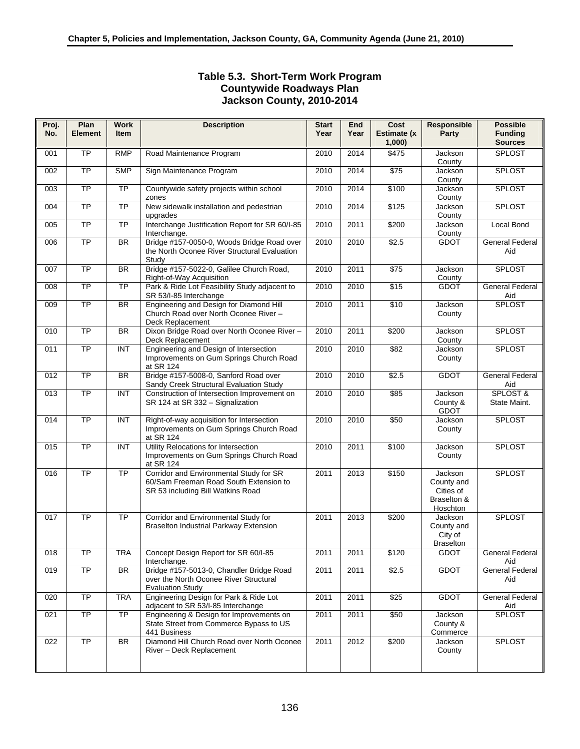# **Table 5.3. Short-Term Work Program Countywide Roadways Plan Jackson County, 2010-2014**

| Proj.<br>No. | Plan<br><b>Element</b> | <b>Work</b><br><b>Item</b> | <b>Description</b>                                                                                                     | <b>Start</b><br>Year | <b>End</b><br>Year | Cost<br>Estimate (x<br>1,000 | Responsible<br>Party                                          | <b>Possible</b><br><b>Funding</b><br><b>Sources</b> |
|--------------|------------------------|----------------------------|------------------------------------------------------------------------------------------------------------------------|----------------------|--------------------|------------------------------|---------------------------------------------------------------|-----------------------------------------------------|
| 001          | <b>TP</b>              | <b>RMP</b>                 | Road Maintenance Program                                                                                               | 2010                 | 2014               | \$475                        | Jackson<br>County                                             | <b>SPLOST</b>                                       |
| 002          | $\overline{TP}$        | <b>SMP</b>                 | Sign Maintenance Program                                                                                               | 2010                 | 2014               | \$75                         | Jackson<br>County                                             | SPLOST                                              |
| 003          | <b>TP</b>              | $\overline{TP}$            | Countywide safety projects within school<br>zones                                                                      | 2010                 | 2014               | \$100                        | Jackson<br>County                                             | <b>SPLOST</b>                                       |
| 004          | <b>TP</b>              | $\overline{TP}$            | New sidewalk installation and pedestrian<br>upgrades                                                                   | 2010                 | 2014               | \$125                        | Jackson<br>County                                             | <b>SPLOST</b>                                       |
| 005          | <b>TP</b>              | <b>TP</b>                  | Interchange Justification Report for SR 60/I-85<br>Interchange.                                                        | 2010                 | 2011               | \$200                        | Jackson<br>County                                             | Local Bond                                          |
| 006          | TP                     | BR                         | Bridge #157-0050-0, Woods Bridge Road over<br>the North Oconee River Structural Evaluation<br>Study                    | 2010                 | 2010               | \$2.5                        | <b>GDOT</b>                                                   | <b>General Federal</b><br>Aid                       |
| 007          | $\overline{TP}$        | <b>BR</b>                  | Bridge #157-5022-0, Galilee Church Road,<br>Right-of-Way Acquisition                                                   | 2010                 | 2011               | \$75                         | Jackson<br>County                                             | <b>SPLOST</b>                                       |
| 008          | <b>TP</b>              | $\overline{TP}$            | Park & Ride Lot Feasibility Study adjacent to<br>SR 53/I-85 Interchange                                                | 2010                 | 2010               | \$15                         | <b>GDOT</b>                                                   | <b>General Federal</b><br>Aid                       |
| 009          | TP                     | BR                         | Engineering and Design for Diamond Hill<br>Church Road over North Oconee River -<br>Deck Replacement                   | 2010                 | 2011               | \$10                         | Jackson<br>County                                             | <b>SPLOST</b>                                       |
| 010          | $\overline{TP}$        | <b>BR</b>                  | Dixon Bridge Road over North Oconee River-<br>Deck Replacement                                                         | 2010                 | 2011               | \$200                        | Jackson<br>County                                             | <b>SPLOST</b>                                       |
| 011          | TP                     | INT                        | Engineering and Design of Intersection<br>Improvements on Gum Springs Church Road<br>at SR 124                         | 2010                 | 2010               | \$82                         | Jackson<br>County                                             | <b>SPLOST</b>                                       |
| 012          | TP                     | BR                         | Bridge #157-5008-0, Sanford Road over<br>Sandy Creek Structural Evaluation Study                                       | 2010                 | 2010               | \$2.5                        | <b>GDOT</b>                                                   | <b>General Federal</b><br>Aid                       |
| 013          | <b>TP</b>              | <b>INT</b>                 | Construction of Intersection Improvement on<br>SR 124 at SR 332 - Signalization                                        | 2010                 | 2010               | \$85                         | Jackson<br>County &<br>GDOT                                   | SPLOST &<br>State Maint.                            |
| 014          | $\overline{\text{TP}}$ | $\overline{INT}$           | Right-of-way acquisition for Intersection<br>Improvements on Gum Springs Church Road<br>at SR 124                      | 2010                 | 2010               | \$50                         | Jackson<br>County                                             | <b>SPLOST</b>                                       |
| 015          | $\overline{\text{TP}}$ | INT                        | Utility Relocations for Intersection<br>Improvements on Gum Springs Church Road<br>at SR 124                           | 2010                 | 2011               | \$100                        | Jackson<br>County                                             | <b>SPLOST</b>                                       |
| 016          | <b>TP</b>              | $\overline{TP}$            | Corridor and Environmental Study for SR<br>60/Sam Freeman Road South Extension to<br>SR 53 including Bill Watkins Road | 2011                 | 2013               | \$150                        | Jackson<br>County and<br>Cities of<br>Braselton &<br>Hoschton | <b>SPLOST</b>                                       |
| 017          | <b>TP</b>              | $\overline{TP}$            | Corridor and Environmental Study for<br><b>Braselton Industrial Parkway Extension</b>                                  | 2011                 | 2013               | \$200                        | Jackson<br>County and<br>City of<br><b>Braselton</b>          | <b>SPLOST</b>                                       |
| 018          | <b>TP</b>              | <b>TRA</b>                 | Concept Design Report for SR 60/I-85<br>Interchange.                                                                   | 2011                 | 2011               | $\sqrt{$120}$                | <b>GDOT</b>                                                   | <b>General Federal</b><br>Aid                       |
| 019          | TP                     | <b>BR</b>                  | Bridge #157-5013-0, Chandler Bridge Road<br>over the North Oconee River Structural<br><b>Evaluation Study</b>          | 2011                 | 2011               | \$2.5                        | <b>GDOT</b>                                                   | <b>General Federal</b><br>Aid                       |
| 020          | <b>TP</b>              | <b>TRA</b>                 | Engineering Design for Park & Ride Lot<br>adjacent to SR 53/I-85 Interchange                                           | 2011                 | 2011               | \$25                         | <b>GDOT</b>                                                   | General Federal<br><u>Aid</u>                       |
| 021          | ТP                     | <b>TP</b>                  | Engineering & Design for Improvements on<br>State Street from Commerce Bypass to US<br>441 Business                    | 2011                 | 2011               | \$50                         | Jackson<br>County &<br>Commerce                               | <b>SPLOST</b>                                       |
| 022          | TP                     | BR                         | Diamond Hill Church Road over North Oconee<br>River - Deck Replacement                                                 | 2011                 | 2012               | \$200                        | Jackson<br>County                                             | <b>SPLOST</b>                                       |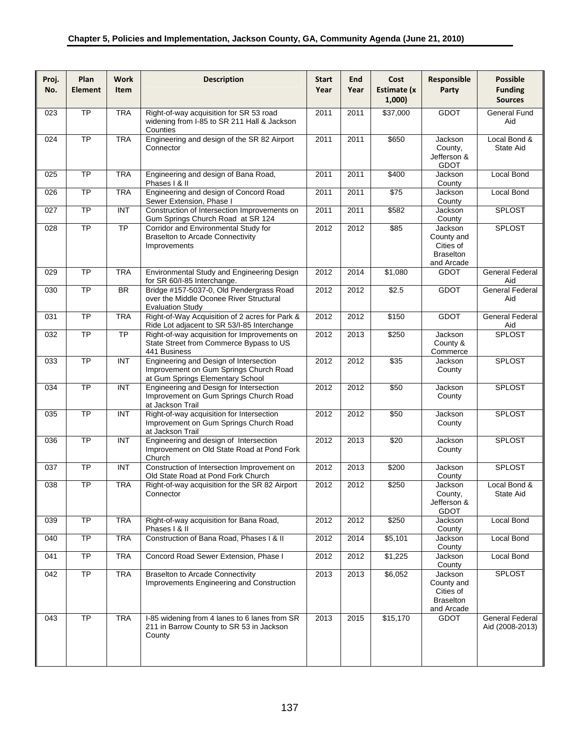| Proj.<br>No. | Plan<br><b>Element</b> | <b>Work</b><br>Item      | <b>Description</b>                                                                                                   | <b>Start</b><br>Year | <b>End</b><br>Year | Cost<br>Estimate (x<br>1,000) | Responsible<br>Party                                                 | <b>Possible</b><br><b>Funding</b><br><b>Sources</b> |
|--------------|------------------------|--------------------------|----------------------------------------------------------------------------------------------------------------------|----------------------|--------------------|-------------------------------|----------------------------------------------------------------------|-----------------------------------------------------|
| 023          | $\overline{TP}$        | <b>TRA</b>               | Right-of-way acquisition for SR 53 road<br>widening from I-85 to SR 211 Hall & Jackson<br>Counties                   | 2011                 | 2011               | \$37,000                      | <b>GDOT</b>                                                          | <b>General Fund</b><br>Aid                          |
| 024          | $\overline{TP}$        | <b>TRA</b>               | Engineering and design of the SR 82 Airport<br>Connector                                                             | 2011                 | 2011               | \$650                         | Jackson<br>County,<br>Jefferson &<br><b>GDOT</b>                     | Local Bond &<br>State Aid                           |
| 025          | <b>TP</b>              | <b>TRA</b>               | Engineering and design of Bana Road,<br>Phases   & II                                                                | 2011                 | 2011               | \$400                         | Jackson<br>County                                                    | Local Bond                                          |
| 026          | <b>TP</b>              | <b>TRA</b>               | Engineering and design of Concord Road<br>Sewer Extension, Phase I                                                   | 2011                 | 2011               | $\sqrt{$75}$                  | Jackson<br>County                                                    | <b>Local Bond</b>                                   |
| 027          | $\overline{TP}$        | $\overline{INT}$         | Construction of Intersection Improvements on<br>Gum Springs Church Road at SR 124                                    | 2011                 | 2011               | \$582                         | Jackson<br>County                                                    | <b>SPLOST</b>                                       |
| 028          | <b>TP</b>              | <b>TP</b>                | Corridor and Environmental Study for<br><b>Braselton to Arcade Connectivity</b><br>Improvements                      | 2012                 | 2012               | \$85                          | Jackson<br>County and<br>Cities of<br><b>Braselton</b><br>and Arcade | <b>SPLOST</b>                                       |
| 029          | $\overline{TP}$        | <b>TRA</b>               | Environmental Study and Engineering Design<br>for SR 60/I-85 Interchange.                                            | 2012                 | 2014               | \$1,080                       | <b>GDOT</b>                                                          | <b>General Federal</b><br>Aid                       |
| 030          | $\overline{TP}$        | $\overline{\mathsf{BR}}$ | Bridge #157-5037-0, Old Pendergrass Road<br>over the Middle Oconee River Structural<br><b>Evaluation Study</b>       | 2012                 | 2012               | \$2.5                         | <b>GDOT</b>                                                          | <b>General Federal</b><br>Aid                       |
| 031          | TP                     | <b>TRA</b>               | Right-of-Way Acquisition of 2 acres for Park &<br>Ride Lot adjacent to SR 53/I-85 Interchange                        | 2012                 | 2012               | \$150                         | <b>GDOT</b>                                                          | <b>General Federal</b><br>Aid                       |
| 032          | $\overline{TP}$        | $\overline{TP}$          | Right-of-way acquisition for Improvements on<br>State Street from Commerce Bypass to US<br>441 Business              | 2012                 | $\frac{1}{2013}$   | \$250                         | Jackson<br>County &<br>Commerce                                      | <b>SPLOST</b>                                       |
| 033          | $\overline{TP}$        | INT                      | Engineering and Design of Intersection<br>Improvement on Gum Springs Church Road<br>at Gum Springs Elementary School | 2012                 | 2012               | \$35                          | Jackson<br>County                                                    | <b>SPLOST</b>                                       |
| 034          | <b>TP</b>              | INT                      | Engineering and Design for Intersection<br>Improvement on Gum Springs Church Road<br>at Jackson Trail                | 2012                 | 2012               | \$50                          | Jackson<br>County                                                    | <b>SPLOST</b>                                       |
| 035          | $\overline{TP}$        | INT                      | Right-of-way acquisition for Intersection<br>Improvement on Gum Springs Church Road<br>at Jackson Trail              | 2012                 | 2012               | \$50                          | Jackson<br>County                                                    | <b>SPLOST</b>                                       |
| 036          | $\overline{TP}$        | INT                      | Engineering and design of Intersection<br>Improvement on Old State Road at Pond Fork<br>Church                       | 2012                 | 2013               | \$20                          | Jackson<br>County                                                    | <b>SPLOST</b>                                       |
| 037          | $\overline{TP}$        | INT                      | Construction of Intersection Improvement on<br>Old State Road at Pond Fork Church                                    | 2012                 | 2013               | \$200                         | Jackson<br>County                                                    | <b>SPLOST</b>                                       |
| 038          | <b>TP</b>              | <b>TRA</b>               | Right-of-way acquisition for the SR 82 Airport<br>Connector                                                          | 2012                 | 2012               | \$250                         | Jackson<br>County,<br>Jefferson &<br><b>GDOT</b>                     | Local Bond &<br>State Aid                           |
| 039          | $\overline{TP}$        | <b>TRA</b>               | Right-of-way acquisition for Bana Road,<br>Phases I & II                                                             | 2012                 | 2012               | \$250                         | Jackson<br>County                                                    | Local Bond                                          |
| 040          | TP                     | <b>TRA</b>               | Construction of Bana Road, Phases I & II                                                                             | 2012                 | 2014               | \$5,101                       | Jackson<br>County                                                    | Local Bond                                          |
| 041          | TP                     | <b>TRA</b>               | Concord Road Sewer Extension, Phase I                                                                                | 2012                 | 2012               | \$1,225                       | Jackson<br>County                                                    | Local Bond                                          |
| 042          | $\overline{TP}$        | <b>TRA</b>               | <b>Braselton to Arcade Connectivity</b><br>Improvements Engineering and Construction                                 | 2013                 | 2013               | \$6,052                       | Jackson<br>County and<br>Cities of<br><b>Braselton</b><br>and Arcade | <b>SPLOST</b>                                       |
| 043          | <b>TP</b>              | <b>TRA</b>               | I-85 widening from 4 lanes to 6 lanes from SR<br>211 in Barrow County to SR 53 in Jackson<br>County                  | 2013                 | 2015               | \$15,170                      | <b>GDOT</b>                                                          | General Federal<br>Aid (2008-2013)                  |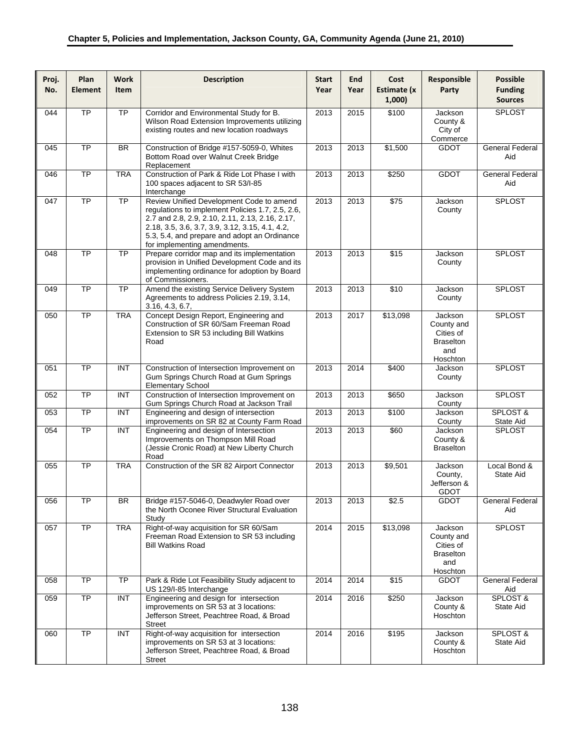| Proj.<br>No. | Plan<br><b>Element</b> | <b>Work</b><br>Item | <b>Description</b>                                                                                                                                                                                                                                                                 | <b>Start</b><br>Year | End<br>Year | Cost<br>Estimate (x<br>1,000 | Responsible<br>Party                                                      | <b>Possible</b><br><b>Funding</b><br><b>Sources</b> |
|--------------|------------------------|---------------------|------------------------------------------------------------------------------------------------------------------------------------------------------------------------------------------------------------------------------------------------------------------------------------|----------------------|-------------|------------------------------|---------------------------------------------------------------------------|-----------------------------------------------------|
| 044          | $\overline{TP}$        | TP                  | Corridor and Environmental Study for B.<br>Wilson Road Extension Improvements utilizing<br>existing routes and new location roadways                                                                                                                                               | 2013                 | 2015        | \$100                        | Jackson<br>County &<br>City of<br>Commerce                                | <b>SPLOST</b>                                       |
| 045          | <b>TP</b>              | <b>BR</b>           | Construction of Bridge #157-5059-0, Whites<br>Bottom Road over Walnut Creek Bridge<br>Replacement                                                                                                                                                                                  | 2013                 | 2013        | \$1,500                      | <b>GDOT</b>                                                               | <b>General Federal</b><br>Aid                       |
| 046          | <b>TP</b>              | <b>TRA</b>          | Construction of Park & Ride Lot Phase I with<br>100 spaces adjacent to SR 53/I-85<br>Interchange                                                                                                                                                                                   | 2013                 | 2013        | \$250                        | <b>GDOT</b>                                                               | <b>General Federal</b><br>Aid                       |
| 047          | <b>TP</b>              | <b>TP</b>           | Review Unified Development Code to amend<br>regulations to implement Policies 1.7, 2.5, 2.6,<br>2.7 and 2.8, 2.9, 2.10, 2.11, 2.13, 2.16, 2.17,<br>2.18, 3.5, 3.6, 3.7, 3.9, 3.12, 3.15, 4.1, 4.2,<br>5.3, 5.4, and prepare and adopt an Ordinance<br>for implementing amendments. | 2013                 | 2013        | $\sqrt{$75}$                 | Jackson<br>County                                                         | <b>SPLOST</b>                                       |
| 048          | $\overline{TP}$        | $\overline{TP}$     | Prepare corridor map and its implementation<br>provision in Unified Development Code and its<br>implementing ordinance for adoption by Board<br>of Commissioners.                                                                                                                  | 2013                 | 2013        | $\sqrt{$15}$                 | Jackson<br>County                                                         | <b>SPLOST</b>                                       |
| 049          | $\overline{TP}$        | <b>TP</b>           | Amend the existing Service Delivery System<br>Agreements to address Policies 2.19, 3.14,<br>3.16, 4.3, 6.7,                                                                                                                                                                        | 2013                 | 2013        | \$10                         | Jackson<br>County                                                         | SPLOST                                              |
| 050          | $\overline{TP}$        | <b>TRA</b>          | Concept Design Report, Engineering and<br>Construction of SR 60/Sam Freeman Road<br>Extension to SR 53 including Bill Watkins<br>Road                                                                                                                                              | 2013                 | 2017        | \$13,098                     | Jackson<br>County and<br>Cities of<br><b>Braselton</b><br>and<br>Hoschton | <b>SPLOST</b>                                       |
| 051          | $\overline{TP}$        | INT                 | Construction of Intersection Improvement on<br>Gum Springs Church Road at Gum Springs<br>Elementary School                                                                                                                                                                         | 2013                 | 2014        | \$400                        | Jackson<br>County                                                         | <b>SPLOST</b>                                       |
| 052          | $\overline{TP}$        | INT                 | Construction of Intersection Improvement on<br>Gum Springs Church Road at Jackson Trail                                                                                                                                                                                            | 2013                 | 2013        | \$650                        | Jackson<br>County                                                         | <b>SPLOST</b>                                       |
| 053          | <b>TP</b>              | <b>INT</b>          | Engineering and design of intersection<br>improvements on SR 82 at County Farm Road                                                                                                                                                                                                | 2013                 | 2013        | \$100                        | Jackson<br>County                                                         | SPLOST &<br>State Aid                               |
| 054          | $\overline{TP}$        | <b>INT</b>          | Engineering and design of Intersection<br>Improvements on Thompson Mill Road<br>(Jessie Cronic Road) at New Liberty Church<br>Road                                                                                                                                                 | 2013                 | 2013        | \$60                         | Jackson<br>County &<br><b>Braselton</b>                                   | <b>SPLOST</b>                                       |
| 055          | $\overline{TP}$        | <b>TRA</b>          | Construction of the SR 82 Airport Connector                                                                                                                                                                                                                                        | 2013                 | 2013        | \$9,501                      | Jackson<br>County,<br>Jefferson &<br>GDOT                                 | Local Bond &<br>State Aid                           |
| 056          | <b>TP</b>              | <b>BR</b>           | Bridge #157-5046-0, Deadwyler Road over<br>the North Oconee River Structural Evaluation<br>Study                                                                                                                                                                                   | 2013                 | 2013        | \$2.5                        | <b>GDOT</b>                                                               | General Federal<br>Aid                              |
| 057          | <b>TP</b>              | <b>TRA</b>          | Right-of-way acquisition for SR 60/Sam<br>Freeman Road Extension to SR 53 including<br><b>Bill Watkins Road</b>                                                                                                                                                                    | 2014                 | 2015        | \$13,098                     | Jackson<br>County and<br>Cities of<br><b>Braselton</b><br>and<br>Hoschton | <b>SPLOST</b>                                       |
| 058          | <b>TP</b>              | TP                  | Park & Ride Lot Feasibility Study adjacent to<br>US 129/I-85 Interchange                                                                                                                                                                                                           | 2014                 | 2014        | \$15                         | <b>GDOT</b>                                                               | General Federal<br>Aid                              |
| 059          | TP                     | <b>INT</b>          | Engineering and design for intersection<br>improvements on SR 53 at 3 locations:<br>Jefferson Street, Peachtree Road, & Broad<br><b>Street</b>                                                                                                                                     | 2014                 | 2016        | \$250                        | Jackson<br>County &<br>Hoschton                                           | SPLOST &<br>State Aid                               |
| 060          | <b>TP</b>              | <b>INT</b>          | Right-of-way acquisition for intersection<br>improvements on SR 53 at 3 locations:<br>Jefferson Street, Peachtree Road, & Broad<br>Street                                                                                                                                          | 2014                 | 2016        | \$195                        | Jackson<br>County &<br>Hoschton                                           | SPLOST &<br>State Aid                               |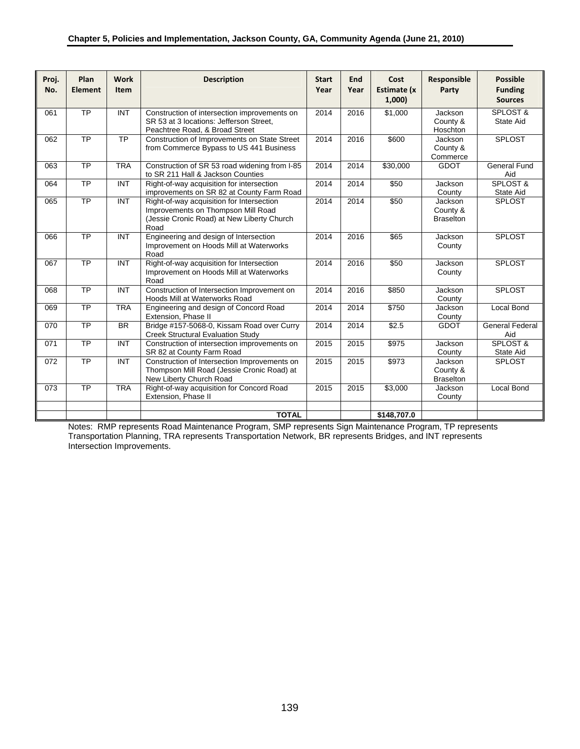| Proj.<br>No. | Plan<br><b>Element</b> | <b>Work</b><br><b>Item</b> | <b>Description</b>                                                                                                                    | <b>Start</b><br>Year | <b>End</b><br>Year | Cost<br>Estimate (x<br>1,000 | Responsible<br>Party                    | <b>Possible</b><br><b>Funding</b><br><b>Sources</b> |
|--------------|------------------------|----------------------------|---------------------------------------------------------------------------------------------------------------------------------------|----------------------|--------------------|------------------------------|-----------------------------------------|-----------------------------------------------------|
| 061          | <b>TP</b>              | <b>INT</b>                 | Construction of intersection improvements on<br>SR 53 at 3 locations: Jefferson Street.<br>Peachtree Road, & Broad Street             | 2014                 | 2016               | \$1,000                      | Jackson<br>County &<br>Hoschton         | SPLOST &<br>State Aid                               |
| 062          | <b>TP</b>              | <b>TP</b>                  | Construction of Improvements on State Street<br>from Commerce Bypass to US 441 Business                                               | 2014                 | 2016               | \$600                        | Jackson<br>County &<br>Commerce         | <b>SPLOST</b>                                       |
| 063          | $\overline{TP}$        | <b>TRA</b>                 | Construction of SR 53 road widening from I-85<br>to SR 211 Hall & Jackson Counties                                                    | 2014                 | 2014               | \$30,000                     | <b>GDOT</b>                             | <b>General Fund</b><br>Aid                          |
| 064          | $\overline{TP}$        | <b>INT</b>                 | Right-of-way acquisition for intersection<br>improvements on SR 82 at County Farm Road                                                | 2014                 | 2014               | \$50                         | Jackson<br>County                       | SPLOST &<br>State Aid                               |
| 065          | <b>TP</b>              | $\overline{INT}$           | Right-of-way acquisition for Intersection<br>Improvements on Thompson Mill Road<br>(Jessie Cronic Road) at New Liberty Church<br>Road | 2014                 | 2014               | \$50                         | Jackson<br>County &<br><b>Braselton</b> | <b>SPLOST</b>                                       |
| 066          | $\overline{TP}$        | $\overline{INT}$           | Engineering and design of Intersection<br>Improvement on Hoods Mill at Waterworks<br>Road                                             | 2014                 | 2016               | \$65                         | Jackson<br>County                       | <b>SPLOST</b>                                       |
| 067          | $\overline{TP}$        | <b>INT</b>                 | Right-of-way acquisition for Intersection<br>Improvement on Hoods Mill at Waterworks<br>Road                                          | 2014                 | 2016               | \$50                         | Jackson<br>County                       | <b>SPLOST</b>                                       |
| 068          | <b>TP</b>              | $\overline{INT}$           | Construction of Intersection Improvement on<br>Hoods Mill at Waterworks Road                                                          | 2014                 | 2016               | \$850                        | Jackson<br>County                       | <b>SPLOST</b>                                       |
| 069          | $\overline{TP}$        | <b>TRA</b>                 | Engineering and design of Concord Road<br>Extension, Phase II                                                                         | 2014                 | 2014               | \$750                        | Jackson<br>County                       | Local Bond                                          |
| 070          | <b>TP</b>              | $\overline{BR}$            | Bridge #157-5068-0, Kissam Road over Curry<br><b>Creek Structural Evaluation Study</b>                                                | 2014                 | 2014               | \$2.5                        | <b>GDOT</b>                             | General Federal<br>Aid                              |
| 071          | $\overline{TP}$        | <b>INT</b>                 | Construction of intersection improvements on<br>SR 82 at County Farm Road                                                             | 2015                 | 2015               | \$975                        | Jackson<br>County                       | <b>SPLOST &amp;</b><br>State Aid                    |
| 072          | <b>TP</b>              | <b>INT</b>                 | Construction of Intersection Improvements on<br>Thompson Mill Road (Jessie Cronic Road) at<br>New Liberty Church Road                 | 2015                 | 2015               | $\overline{$}973$            | Jackson<br>County &<br><b>Braselton</b> | <b>SPLOST</b>                                       |
| 073          | $\overline{TP}$        | <b>TRA</b>                 | Right-of-way acquisition for Concord Road<br>Extension, Phase II                                                                      | 2015                 | 2015               | \$3,000                      | Jackson<br>County                       | Local Bond                                          |
|              |                        |                            | <b>TOTAL</b>                                                                                                                          |                      |                    | \$148,707.0                  |                                         |                                                     |

Notes: RMP represents Road Maintenance Program, SMP represents Sign Maintenance Program, TP represents Transportation Planning, TRA represents Transportation Network, BR represents Bridges, and INT represents Intersection Improvements.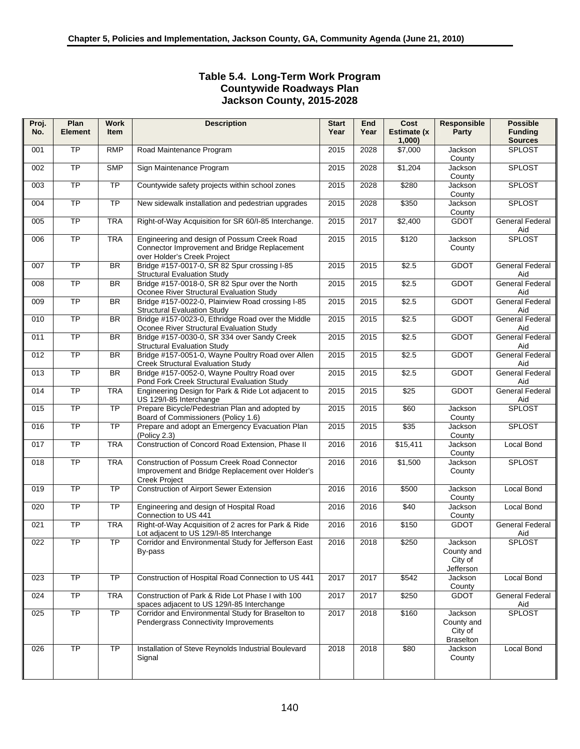## **Table 5.4. Long-Term Work Program Countywide Roadways Plan Jackson County, 2015-2028**

| Proj. | Plan            | <b>Work</b><br><b>Item</b> | <b>Description</b>                                                                                                         | <b>Start</b> | End  | Cost                 | <b>Responsible</b>                                   | <b>Possible</b>                  |
|-------|-----------------|----------------------------|----------------------------------------------------------------------------------------------------------------------------|--------------|------|----------------------|------------------------------------------------------|----------------------------------|
| No.   | <b>Element</b>  |                            |                                                                                                                            | Year         | Year | Estimate (x<br>1,000 | Party                                                | <b>Funding</b><br><b>Sources</b> |
| 001   | $\overline{TP}$ | <b>RMP</b>                 | Road Maintenance Program                                                                                                   | 2015         | 2028 | \$7,000              | Jackson<br>County                                    | <b>SPLOST</b>                    |
| 002   | <b>TP</b>       | <b>SMP</b>                 | Sign Maintenance Program                                                                                                   | 2015         | 2028 | \$1,204              | Jackson<br>County                                    | <b>SPLOST</b>                    |
| 003   | <b>TP</b>       | <b>TP</b>                  | Countywide safety projects within school zones                                                                             | 2015         | 2028 | \$280                | Jackson<br>County                                    | <b>SPLOST</b>                    |
| 004   | $\overline{TP}$ | $\overline{TP}$            | New sidewalk installation and pedestrian upgrades                                                                          | 2015         | 2028 | \$350                | Jackson<br>County                                    | <b>SPLOST</b>                    |
| 005   | $\overline{TP}$ | <b>TRA</b>                 | Right-of-Way Acquisition for SR 60/I-85 Interchange.                                                                       | 2015         | 2017 | \$2,400              | <b>GDOT</b>                                          | <b>General Federal</b><br>Aid    |
| 006   | $\overline{TP}$ | <b>TRA</b>                 | Engineering and design of Possum Creek Road<br>Connector Improvement and Bridge Replacement<br>over Holder's Creek Project | 2015         | 2015 | \$120                | Jackson<br>County                                    | SPLOST                           |
| 007   | <b>TP</b>       | <b>BR</b>                  | Bridge #157-0017-0, SR 82 Spur crossing I-85<br><b>Structural Evaluation Study</b>                                         | 2015         | 2015 | \$2.5                | <b>GDOT</b>                                          | <b>General Federal</b><br>Aid    |
| 008   | TP              | <b>BR</b>                  | Bridge #157-0018-0, SR 82 Spur over the North<br>Oconee River Structural Evaluation Study                                  | 2015         | 2015 | \$2.5                | <b>GDOT</b>                                          | <b>General Federal</b><br>Aid    |
| 009   | $\overline{TP}$ | <b>BR</b>                  | Bridge #157-0022-0, Plainview Road crossing I-85<br><b>Structural Evaluation Study</b>                                     | 2015         | 2015 | \$2.5                | <b>GDOT</b>                                          | <b>General Federal</b><br>Aid    |
| 010   | $\overline{TP}$ | BR                         | Bridge #157-0023-0, Ethridge Road over the Middle<br>Oconee River Structural Evaluation Study                              | 2015         | 2015 | \$2.5                | <b>GDOT</b>                                          | <b>General Federal</b><br>Aid    |
| 011   | $\overline{TP}$ | BR                         | Bridge #157-0030-0, SR 334 over Sandy Creek<br><b>Structural Evaluation Study</b>                                          | 2015         | 2015 | \$2.5                | <b>GDOT</b>                                          | <b>General Federal</b><br>Aid    |
| 012   | $\overline{TP}$ | <b>BR</b>                  | Bridge #157-0051-0, Wayne Poultry Road over Allen<br><b>Creek Structural Evaluation Study</b>                              | 2015         | 2015 | \$2.5                | <b>GDOT</b>                                          | General Federal<br>Aid           |
| 013   | $\overline{TP}$ | <b>BR</b>                  | Bridge #157-0052-0, Wayne Poultry Road over<br>Pond Fork Creek Structural Evaluation Study                                 | 2015         | 2015 | \$2.5                | <b>GDOT</b>                                          | <b>General Federal</b><br>Aid    |
| 014   | TP              | <b>TRA</b>                 | Engineering Design for Park & Ride Lot adjacent to<br>US 129/I-85 Interchange                                              | 2015         | 2015 | $\sqrt{$25}$         | <b>GDOT</b>                                          | General Federal<br>Aid           |
| 015   | $\overline{TP}$ | $\overline{TP}$            | Prepare Bicycle/Pedestrian Plan and adopted by<br>Board of Commissioners (Policy 1.6)                                      | 2015         | 2015 | \$60                 | Jackson<br>County                                    | <b>SPLOST</b>                    |
| 016   | $\overline{TP}$ | $\overline{TP}$            | Prepare and adopt an Emergency Evacuation Plan<br>(Policy 2.3)                                                             | 2015         | 2015 | \$35                 | Jackson<br>County                                    | <b>SPLOST</b>                    |
| 017   | TP              | <b>TRA</b>                 | Construction of Concord Road Extension, Phase II                                                                           | 2016         | 2016 | \$15,411             | Jackson<br>County                                    | <b>Local Bond</b>                |
| 018   | TP              | <b>TRA</b>                 | Construction of Possum Creek Road Connector<br>Improvement and Bridge Replacement over Holder's<br><b>Creek Project</b>    | 2016         | 2016 | \$1,500              | Jackson<br>County                                    | <b>SPLOST</b>                    |
| 019   | $\overline{TP}$ | $\overline{TP}$            | <b>Construction of Airport Sewer Extension</b>                                                                             | 2016         | 2016 | \$500                | Jackson<br>County                                    | <b>Local Bond</b>                |
| 020   | $\overline{TP}$ | TP                         | Engineering and design of Hospital Road<br>Connection to US 441                                                            | 2016         | 2016 | \$40                 | Jackson<br>County                                    | Local Bond                       |
| 021   | TP              | <b>TRA</b>                 | Right-of-Way Acquisition of 2 acres for Park & Ride<br>Lot adjacent to US 129/I-85 Interchange                             | 2016         | 2016 | \$150                | <b>GDOT</b>                                          | <b>General Federal</b><br>Aid    |
| 022   | TP              | $\overline{TP}$            | Corridor and Environmental Study for Jefferson East<br>By-pass                                                             | 2016         | 2018 | \$250                | Jackson<br>County and<br>City of<br>Jefferson        | <b>SPLOST</b>                    |
| 023   | TP              | <b>TP</b>                  | Construction of Hospital Road Connection to US 441                                                                         | 2017         | 2017 | \$542                | Jackson<br>County                                    | Local Bond                       |
| 024   | TP              | <b>TRA</b>                 | Construction of Park & Ride Lot Phase I with 100<br>spaces adjacent to US 129/I-85 Interchange                             | 2017         | 2017 | \$250                | <b>GDOT</b>                                          | <b>General Federal</b><br>Aid    |
| 025   | TP              | <b>TP</b>                  | Corridor and Environmental Study for Braselton to<br>Pendergrass Connectivity Improvements                                 | 2017         | 2018 | \$160                | Jackson<br>County and<br>City of<br><b>Braselton</b> | <b>SPLOST</b>                    |
| 026   | $\overline{TP}$ | TP                         | Installation of Steve Reynolds Industrial Boulevard<br>Signal                                                              | 2018         | 2018 | \$80                 | Jackson<br>County                                    | Local Bond                       |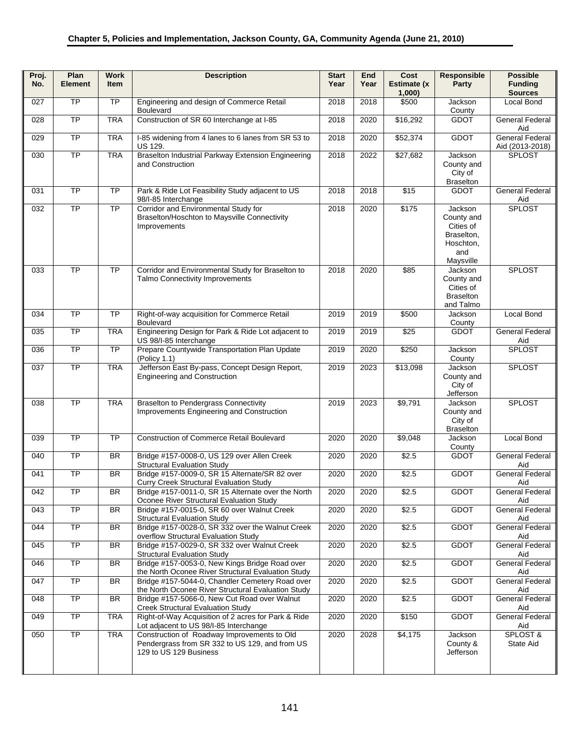| Proj.<br>No. | Plan<br><b>Element</b> | <b>Work</b><br><b>Item</b> | <b>Description</b>                                                                                                      | <b>Start</b><br>Year | End<br>Year | Cost<br><b>Estimate (x</b><br>1,000 | Responsible<br>Party                                                              | <b>Possible</b><br><b>Funding</b><br><b>Sources</b> |
|--------------|------------------------|----------------------------|-------------------------------------------------------------------------------------------------------------------------|----------------------|-------------|-------------------------------------|-----------------------------------------------------------------------------------|-----------------------------------------------------|
| 027          | $\overline{TP}$        | $\overline{TP}$            | Engineering and design of Commerce Retail<br><b>Boulevard</b>                                                           | 2018                 | 2018        | \$500                               | Jackson<br>County                                                                 | Local Bond                                          |
| 028          | $\overline{TP}$        | <b>TRA</b>                 | Construction of SR 60 Interchange at I-85                                                                               | 2018                 | 2020        | \$16,292                            | <b>GDOT</b>                                                                       | <b>General Federal</b><br>Aid                       |
| 029          | <b>TP</b>              | <b>TRA</b>                 | I-85 widening from 4 lanes to 6 lanes from SR 53 to<br><b>US 129.</b>                                                   | 2018                 | 2020        | \$52,374                            | <b>GDOT</b>                                                                       | <b>General Federal</b><br>Aid (2013-2018)           |
| 030          | <b>TP</b>              | <b>TRA</b>                 | Braselton Industrial Parkway Extension Engineering<br>and Construction                                                  | 2018                 | 2022        | \$27,682                            | Jackson<br>County and<br>City of<br><b>Braselton</b>                              | <b>SPLOST</b>                                       |
| 031          | $\overline{TP}$        | <b>TP</b>                  | Park & Ride Lot Feasibility Study adjacent to US<br>98/I-85 Interchange                                                 | 2018                 | 2018        | \$15                                | <b>GDOT</b>                                                                       | <b>General Federal</b><br>Aid                       |
| 032          | TP                     | $\overline{TP}$            | Corridor and Environmental Study for<br>Braselton/Hoschton to Maysville Connectivity<br>Improvements                    | 2018                 | 2020        | \$175                               | Jackson<br>County and<br>Cities of<br>Braselton,<br>Hoschton,<br>and<br>Maysville | <b>SPLOST</b>                                       |
| 033          | $\overline{TP}$        | <b>TP</b>                  | Corridor and Environmental Study for Braselton to<br><b>Talmo Connectivity Improvements</b>                             | 2018                 | 2020        | \$85                                | Jackson<br>County and<br>Cities of<br><b>Braselton</b><br>and Talmo               | <b>SPLOST</b>                                       |
| 034          | $\overline{TP}$        | $\overline{TP}$            | Right-of-way acquisition for Commerce Retail<br><b>Boulevard</b>                                                        | 2019                 | 2019        | \$500                               | Jackson<br>County                                                                 | Local Bond                                          |
| 035          | $\overline{TP}$        | <b>TRA</b>                 | Engineering Design for Park & Ride Lot adjacent to<br>US 98/I-85 Interchange                                            | 2019                 | 2019        | \$25                                | <b>GDOT</b>                                                                       | <b>General Federal</b><br>Aid                       |
| 036          | $\overline{TP}$        | TP                         | Prepare Countywide Transportation Plan Update<br>(Policy 1.1)                                                           | 2019                 | 2020        | \$250                               | Jackson<br>County                                                                 | <b>SPLOST</b>                                       |
| 037          | TP                     | <b>TRA</b>                 | Jefferson East By-pass, Concept Design Report,<br><b>Engineering and Construction</b>                                   | 2019                 | 2023        | \$13,098                            | Jackson<br>County and<br>City of<br>Jefferson                                     | <b>SPLOST</b>                                       |
| 038          | $\overline{TP}$        | <b>TRA</b>                 | <b>Braselton to Pendergrass Connectivity</b><br>Improvements Engineering and Construction                               | 2019                 | 2023        | $\frac{1}{1}$ \$9,791               | Jackson<br>County and<br>City of<br><b>Braselton</b>                              | SPLOST                                              |
| 039          | $\overline{TP}$        | $\overline{TP}$            | <b>Construction of Commerce Retail Boulevard</b>                                                                        | 2020                 | 2020        | \$9,048                             | Jackson<br>County                                                                 | <b>Local Bond</b>                                   |
| 040          | $\overline{TP}$        | <b>BR</b>                  | Bridge #157-0008-0, US 129 over Allen Creek<br><b>Structural Evaluation Study</b>                                       | 2020                 | 2020        | \$2.5                               | <b>GDOT</b>                                                                       | <b>General Federal</b><br>Aid                       |
| 041          | $\overline{TP}$        | <b>BR</b>                  | Bridge #157-0009-0, SR 15 Alternate/SR 82 over<br>Curry Creek Structural Evaluation Study                               | 2020                 | 2020        | \$2.5                               | <b>GDOT</b>                                                                       | <b>General Federal</b><br>Aid                       |
| 042          | <b>TP</b>              | BR                         | Bridge #157-0011-0, SR 15 Alternate over the North<br>Oconee River Structural Evaluation Study                          | 2020                 | 2020        | \$2.5                               | <b>GDOT</b>                                                                       | General Federal<br>Aid                              |
| 043          | TP                     | <b>BR</b>                  | Bridge #157-0015-0, SR 60 over Walnut Creek<br><b>Structural Evaluation Study</b>                                       | 2020                 | 2020        | \$2.5                               | <b>GDOT</b>                                                                       | General Federal<br>Aid                              |
| 044          | TP                     | <b>BR</b>                  | Bridge #157-0028-0, SR 332 over the Walnut Creek<br>overflow Structural Evaluation Study                                | 2020                 | 2020        | \$2.5                               | <b>GDOT</b>                                                                       | General Federal<br>Aid                              |
| 045          | TP                     | <b>BR</b>                  | Bridge #157-0029-0, SR 332 over Walnut Creek<br><b>Structural Evaluation Study</b>                                      | 2020                 | 2020        | \$2.5                               | <b>GDOT</b>                                                                       | General Federal<br>Aid                              |
| 046          | TP                     | BR.                        | Bridge #157-0053-0, New Kings Bridge Road over<br>the North Oconee River Structural Evaluation Study                    | 2020                 | 2020        | \$2.5                               | <b>GDOT</b>                                                                       | <b>General Federal</b><br>Aid                       |
| 047          | TP                     | BR                         | Bridge #157-5044-0, Chandler Cemetery Road over<br>the North Oconee River Structural Evaluation Study                   | 2020                 | 2020        | \$2.5                               | <b>GDOT</b>                                                                       | <b>General Federal</b><br>Aid                       |
| 048          | <b>TP</b>              | <b>BR</b>                  | Bridge #157-5066-0, New Cut Road over Walnut<br><b>Creek Structural Evaluation Study</b>                                | 2020                 | 2020        | \$2.5                               | <b>GDOT</b>                                                                       | <b>General Federal</b><br>Aid                       |
| 049          | TP                     | <b>TRA</b>                 | Right-of-Way Acquisition of 2 acres for Park & Ride<br>Lot adjacent to US 98/I-85 Interchange                           | 2020                 | 2020        | \$150                               | <b>GDOT</b>                                                                       | <b>General Federal</b><br>Aid                       |
| 050          | TP                     | <b>TRA</b>                 | Construction of Roadway Improvements to Old<br>Pendergrass from SR 332 to US 129, and from US<br>129 to US 129 Business | 2020                 | 2028        | \$4,175                             | Jackson<br>County &<br>Jefferson                                                  | SPLOST &<br>State Aid                               |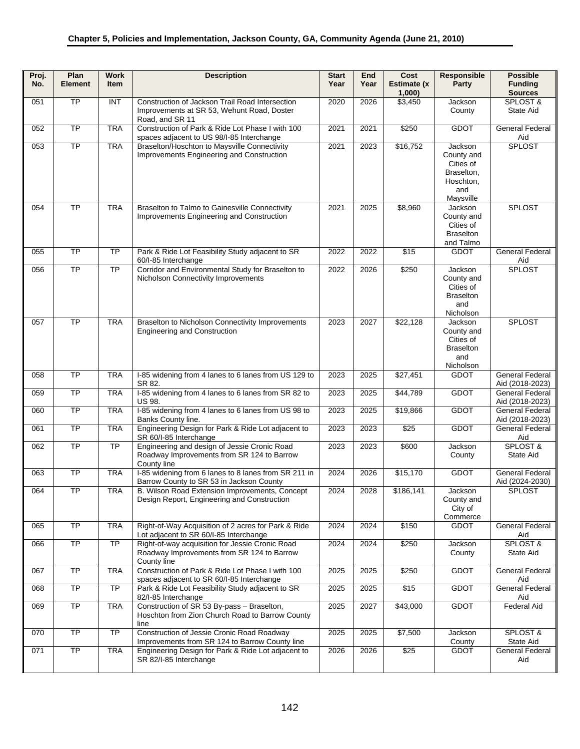| Proj.<br>No. | Plan<br><b>Element</b> | <b>Work</b><br>Item | <b>Description</b>                                                                                           | <b>Start</b><br>Year | End<br>Year | Cost<br>Estimate (x<br>1,000 | Responsible<br>Party                                                              | <b>Possible</b><br><b>Funding</b><br><b>Sources</b> |
|--------------|------------------------|---------------------|--------------------------------------------------------------------------------------------------------------|----------------------|-------------|------------------------------|-----------------------------------------------------------------------------------|-----------------------------------------------------|
| 051          | $\overline{TP}$        | INT                 | Construction of Jackson Trail Road Intersection                                                              | 2020                 | 2026        | \$3,450                      | Jackson                                                                           | SPLOST &                                            |
|              |                        |                     | Improvements at SR 53, Wehunt Road, Doster<br>Road, and SR 11                                                |                      |             |                              | County                                                                            | <b>State Aid</b>                                    |
| 052          | $\overline{TP}$        | <b>TRA</b>          | Construction of Park & Ride Lot Phase I with 100<br>spaces adjacent to US 98/I-85 Interchange                | 2021                 | 2021        | \$250                        | <b>GDOT</b>                                                                       | <b>General Federal</b><br>Aid                       |
| 053          | <b>TP</b>              | <b>TRA</b>          | Braselton/Hoschton to Maysville Connectivity<br>Improvements Engineering and Construction                    | 2021                 | 2023        | \$16,752                     | Jackson<br>County and<br>Cities of<br>Braselton,<br>Hoschton,<br>and<br>Maysville | <b>SPLOST</b>                                       |
| 054          | $\overline{TP}$        | <b>TRA</b>          | Braselton to Talmo to Gainesville Connectivity<br>Improvements Engineering and Construction                  | 2021                 | 2025        | \$8,960                      | Jackson<br>County and<br>Cities of<br><b>Braselton</b><br>and Talmo               | <b>SPLOST</b>                                       |
| 055          | $\overline{TP}$        | <b>TP</b>           | Park & Ride Lot Feasibility Study adjacent to SR<br>60/I-85 Interchange                                      | 2022                 | 2022        | \$15                         | <b>GDOT</b>                                                                       | <b>General Federal</b><br>Aid                       |
| 056          | <b>TP</b>              | <b>TP</b>           | Corridor and Environmental Study for Braselton to<br>Nicholson Connectivity Improvements                     | 2022                 | 2026        | \$250                        | Jackson<br>County and<br>Cities of<br><b>Braselton</b><br>and<br>Nicholson        | <b>SPLOST</b>                                       |
| 057          | TP                     | <b>TRA</b>          | Braselton to Nicholson Connectivity Improvements<br><b>Engineering and Construction</b>                      | 2023                 | 2027        | \$22,128                     | Jackson<br>County and<br>Cities of<br><b>Braselton</b><br>and<br>Nicholson        | <b>SPLOST</b>                                       |
| 058          | $\overline{TP}$        | <b>TRA</b>          | I-85 widening from 4 lanes to 6 lanes from US 129 to<br>SR 82.                                               | 2023                 | 2025        | \$27,451                     | <b>GDOT</b>                                                                       | <b>General Federal</b><br>Aid (2018-2023)           |
| 059          | $\overline{TP}$        | <b>TRA</b>          | I-85 widening from 4 lanes to 6 lanes from SR 82 to<br><b>US 98.</b>                                         | 2023                 | 2025        | \$44,789                     | <b>GDOT</b>                                                                       | <b>General Federal</b><br>Aid (2018-2023)           |
| 060          | <b>TP</b>              | <b>TRA</b>          | I-85 widening from 4 lanes to 6 lanes from US 98 to<br>Banks County line.                                    | 2023                 | 2025        | \$19,866                     | <b>GDOT</b>                                                                       | <b>General Federal</b><br>Aid (2018-2023)           |
| 061          | $\overline{TP}$        | <b>TRA</b>          | Engineering Design for Park & Ride Lot adjacent to<br>SR 60/I-85 Interchange                                 | 2023                 | 2023        | \$25                         | <b>GDOT</b>                                                                       | <b>General Federal</b><br>Aid                       |
| 062          | $\overline{TP}$        | $\overline{TP}$     | Engineering and design of Jessie Cronic Road<br>Roadway Improvements from SR 124 to Barrow<br>County line    | 2023                 | 2023        | \$600                        | Jackson<br>County                                                                 | SPLOST &<br>State Aid                               |
| 063          | $\overline{TP}$        | <b>TRA</b>          | I-85 widening from 6 lanes to 8 lanes from SR 211 in<br>Barrow County to SR 53 in Jackson County             | 2024                 | 2026        | \$15,170                     | <b>GDOT</b>                                                                       | <b>General Federal</b><br>Aid (2024-2030)           |
| 064          | <b>TP</b>              | <b>TRA</b>          | B. Wilson Road Extension Improvements, Concept<br>Design Report, Engineering and Construction                | 2024                 | 2028        | $\overline{$}186,141$        | Jackson<br>County and<br>City of<br>Commerce                                      | SPLOST                                              |
| 065          | <b>TP</b>              | <b>TRA</b>          | Right-of-Way Acquisition of 2 acres for Park & Ride<br>Lot adjacent to SR 60/I-85 Interchange                | 2024                 | 2024        | \$150                        | <b>GDOT</b>                                                                       | <b>General Federal</b><br>Aid                       |
| 066          | TP                     | $\overline{TP}$     | Right-of-way acquisition for Jessie Cronic Road<br>Roadway Improvements from SR 124 to Barrow<br>County line | 2024                 | 2024        | \$250                        | Jackson<br>County                                                                 | SPLOST &<br>State Aid                               |
| 067          | <b>TP</b>              | <b>TRA</b>          | Construction of Park & Ride Lot Phase I with 100<br>spaces adjacent to SR 60/I-85 Interchange                | 2025                 | 2025        | \$250                        | <b>GDOT</b>                                                                       | <b>General Federal</b><br>Aid                       |
| 068          | <b>TP</b>              | $\overline{TP}$     | Park & Ride Lot Feasibility Study adjacent to SR<br>82/I-85 Interchange                                      | 2025                 | 2025        | \$15                         | <b>GDOT</b>                                                                       | <b>General Federal</b><br>Aid                       |
| 069          | <b>TP</b>              | <b>TRA</b>          | Construction of SR 53 By-pass - Braselton,<br>Hoschton from Zion Church Road to Barrow County<br>line        | 2025                 | 2027        | \$43,000                     | <b>GDOT</b>                                                                       | <b>Federal Aid</b>                                  |
| 070          | TP                     | TP                  | Construction of Jessie Cronic Road Roadway<br>Improvements from SR 124 to Barrow County line                 | 2025                 | 2025        | \$7,500                      | Jackson<br>County                                                                 | SPLOST &<br>State Aid                               |
| 071          | <b>TP</b>              | <b>TRA</b>          | Engineering Design for Park & Ride Lot adjacent to<br>SR 82/I-85 Interchange                                 | 2026                 | 2026        | $\sqrt{$25}$                 | <b>GDOT</b>                                                                       | General Federal<br>Aid                              |